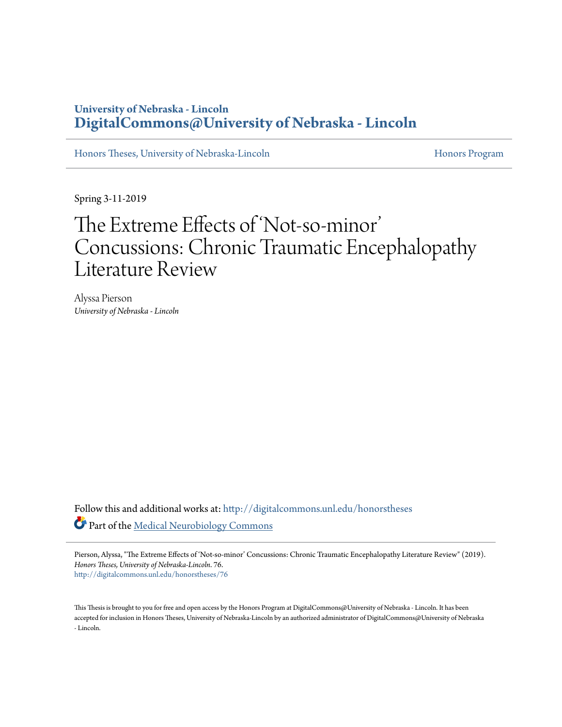# **University of Nebraska - Lincoln [DigitalCommons@University of Nebraska - Lincoln](http://digitalcommons.unl.edu?utm_source=digitalcommons.unl.edu%2Fhonorstheses%2F76&utm_medium=PDF&utm_campaign=PDFCoverPages)**

[Honors Theses, University of Nebraska-Lincoln](http://digitalcommons.unl.edu/honorstheses?utm_source=digitalcommons.unl.edu%2Fhonorstheses%2F76&utm_medium=PDF&utm_campaign=PDFCoverPages) [Honors Program](http://digitalcommons.unl.edu/honorsprogram?utm_source=digitalcommons.unl.edu%2Fhonorstheses%2F76&utm_medium=PDF&utm_campaign=PDFCoverPages) Honors Program

Spring 3-11-2019

# The Extreme Effects of 'Not-so-minor' Concussions: Chronic Traumatic Encephalopathy Literature Review

Alyssa Pierson *University of Nebraska - Lincoln*

Follow this and additional works at: [http://digitalcommons.unl.edu/honorstheses](http://digitalcommons.unl.edu/honorstheses?utm_source=digitalcommons.unl.edu%2Fhonorstheses%2F76&utm_medium=PDF&utm_campaign=PDFCoverPages) Part of the [Medical Neurobiology Commons](http://network.bepress.com/hgg/discipline/674?utm_source=digitalcommons.unl.edu%2Fhonorstheses%2F76&utm_medium=PDF&utm_campaign=PDFCoverPages)

Pierson, Alyssa, "The Extreme Effects of 'Not-so-minor' Concussions: Chronic Traumatic Encephalopathy Literature Review" (2019). *Honors Theses, University of Nebraska-Lincoln*. 76. [http://digitalcommons.unl.edu/honorstheses/76](http://digitalcommons.unl.edu/honorstheses/76?utm_source=digitalcommons.unl.edu%2Fhonorstheses%2F76&utm_medium=PDF&utm_campaign=PDFCoverPages)

This Thesis is brought to you for free and open access by the Honors Program at DigitalCommons@University of Nebraska - Lincoln. It has been accepted for inclusion in Honors Theses, University of Nebraska-Lincoln by an authorized administrator of DigitalCommons@University of Nebraska - Lincoln.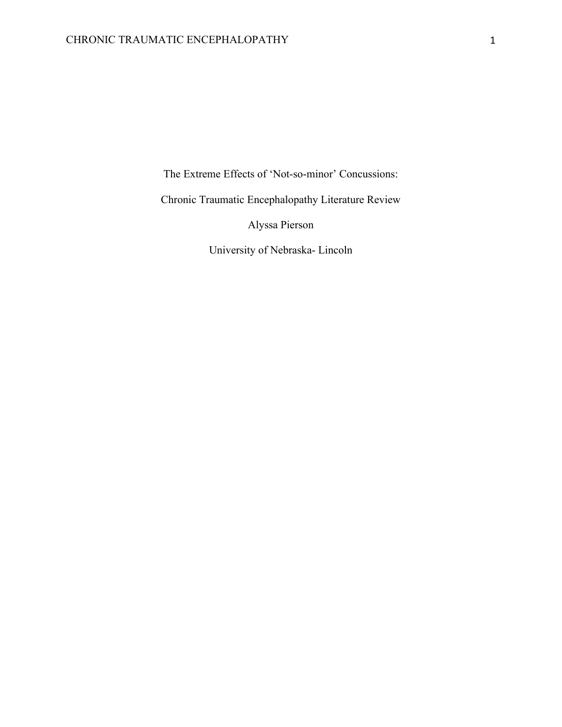The Extreme Effects of 'Not-so-minor' Concussions:

Chronic Traumatic Encephalopathy Literature Review

Alyssa Pierson

University of Nebraska- Lincoln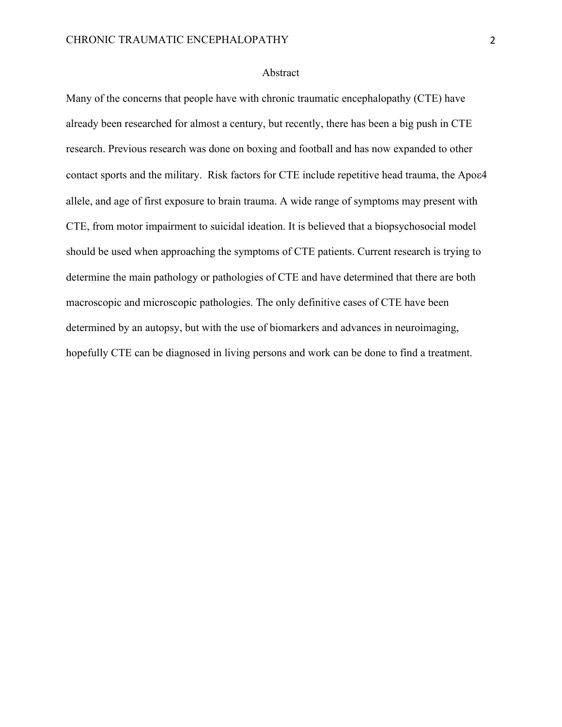#### Abstract

Many of the concerns that people have with chronic traumatic encephalopathy (CTE) have already been researched for almost a century, but recently, there has been a big push in CTE research. Previous research was done on boxing and football and has now expanded to other contact sports and the military. Risk factors for CTE include repetitive head trauma, the Apoe4 allele, and age of first exposure to brain trauma. A wide range of symptoms may present with CTE, from motor impairment to suicidal ideation. It is believed that a biopsychosocial model should be used when approaching the symptoms of CTE patients. Current research is trying to determine the main pathology or pathologies of CTE and have determined that there are both macroscopic and microscopic pathologies. The only definitive cases of CTE have been determined by an autopsy, but with the use of biomarkers and advances in neuroimaging, hopefully CTE can be diagnosed in living persons and work can be done to find a treatment.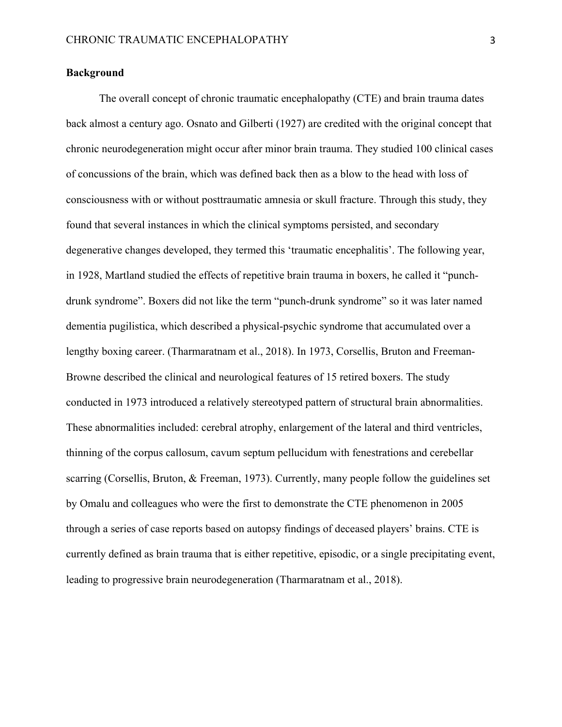# **Background**

The overall concept of chronic traumatic encephalopathy (CTE) and brain trauma dates back almost a century ago. Osnato and Gilberti (1927) are credited with the original concept that chronic neurodegeneration might occur after minor brain trauma. They studied 100 clinical cases of concussions of the brain, which was defined back then as a blow to the head with loss of consciousness with or without posttraumatic amnesia or skull fracture. Through this study, they found that several instances in which the clinical symptoms persisted, and secondary degenerative changes developed, they termed this 'traumatic encephalitis'. The following year, in 1928, Martland studied the effects of repetitive brain trauma in boxers, he called it "punchdrunk syndrome". Boxers did not like the term "punch-drunk syndrome" so it was later named dementia pugilistica, which described a physical-psychic syndrome that accumulated over a lengthy boxing career. (Tharmaratnam et al., 2018). In 1973, Corsellis, Bruton and Freeman-Browne described the clinical and neurological features of 15 retired boxers. The study conducted in 1973 introduced a relatively stereotyped pattern of structural brain abnormalities. These abnormalities included: cerebral atrophy, enlargement of the lateral and third ventricles, thinning of the corpus callosum, cavum septum pellucidum with fenestrations and cerebellar scarring (Corsellis, Bruton, & Freeman, 1973). Currently, many people follow the guidelines set by Omalu and colleagues who were the first to demonstrate the CTE phenomenon in 2005 through a series of case reports based on autopsy findings of deceased players' brains. CTE is currently defined as brain trauma that is either repetitive, episodic, or a single precipitating event, leading to progressive brain neurodegeneration (Tharmaratnam et al., 2018).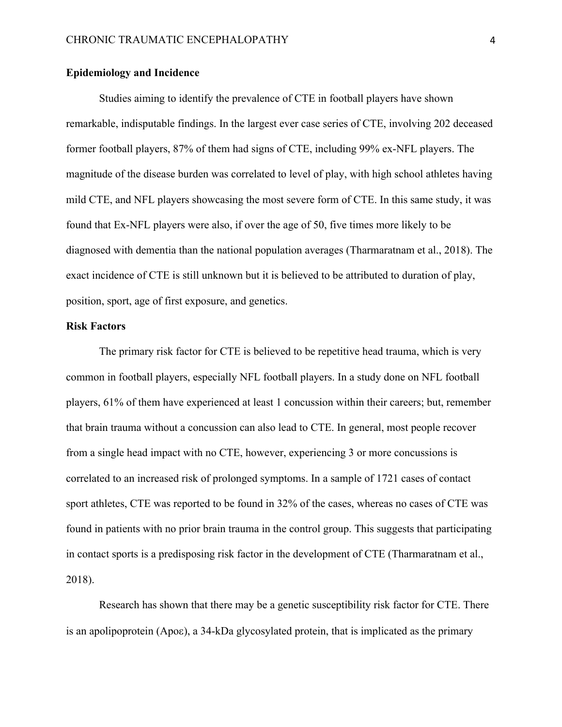# **Epidemiology and Incidence**

Studies aiming to identify the prevalence of CTE in football players have shown remarkable, indisputable findings. In the largest ever case series of CTE, involving 202 deceased former football players, 87% of them had signs of CTE, including 99% ex-NFL players. The magnitude of the disease burden was correlated to level of play, with high school athletes having mild CTE, and NFL players showcasing the most severe form of CTE. In this same study, it was found that Ex-NFL players were also, if over the age of 50, five times more likely to be diagnosed with dementia than the national population averages (Tharmaratnam et al., 2018). The exact incidence of CTE is still unknown but it is believed to be attributed to duration of play, position, sport, age of first exposure, and genetics.

#### **Risk Factors**

The primary risk factor for CTE is believed to be repetitive head trauma, which is very common in football players, especially NFL football players. In a study done on NFL football players, 61% of them have experienced at least 1 concussion within their careers; but, remember that brain trauma without a concussion can also lead to CTE. In general, most people recover from a single head impact with no CTE, however, experiencing 3 or more concussions is correlated to an increased risk of prolonged symptoms. In a sample of 1721 cases of contact sport athletes, CTE was reported to be found in 32% of the cases, whereas no cases of CTE was found in patients with no prior brain trauma in the control group. This suggests that participating in contact sports is a predisposing risk factor in the development of CTE (Tharmaratnam et al., 2018).

Research has shown that there may be a genetic susceptibility risk factor for CTE. There is an apolipoprotein (Apoe), a 34-kDa glycosylated protein, that is implicated as the primary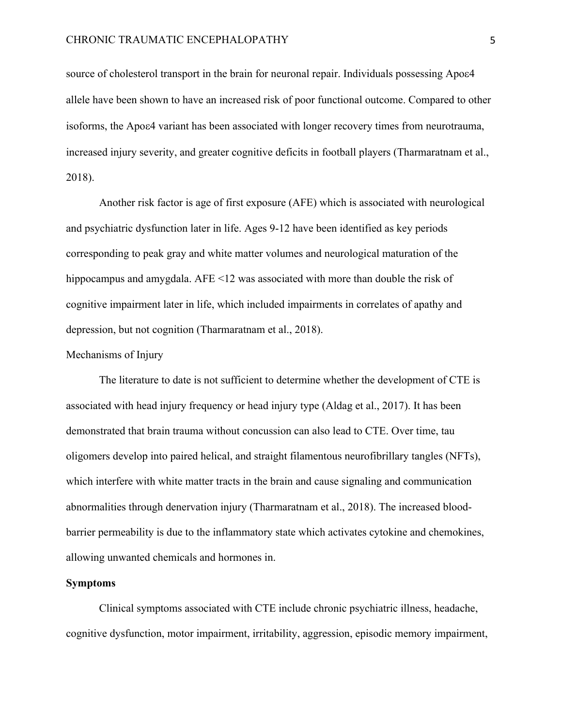source of cholesterol transport in the brain for neuronal repair. Individuals possessing Apoe4 allele have been shown to have an increased risk of poor functional outcome. Compared to other isoforms, the Apoe4 variant has been associated with longer recovery times from neurotrauma, increased injury severity, and greater cognitive deficits in football players (Tharmaratnam et al., 2018).

Another risk factor is age of first exposure (AFE) which is associated with neurological and psychiatric dysfunction later in life. Ages 9-12 have been identified as key periods corresponding to peak gray and white matter volumes and neurological maturation of the hippocampus and amygdala. AFE <12 was associated with more than double the risk of cognitive impairment later in life, which included impairments in correlates of apathy and depression, but not cognition (Tharmaratnam et al., 2018).

# Mechanisms of Injury

The literature to date is not sufficient to determine whether the development of CTE is associated with head injury frequency or head injury type (Aldag et al., 2017). It has been demonstrated that brain trauma without concussion can also lead to CTE. Over time, tau oligomers develop into paired helical, and straight filamentous neurofibrillary tangles (NFTs), which interfere with white matter tracts in the brain and cause signaling and communication abnormalities through denervation injury (Tharmaratnam et al., 2018). The increased bloodbarrier permeability is due to the inflammatory state which activates cytokine and chemokines, allowing unwanted chemicals and hormones in.

# **Symptoms**

Clinical symptoms associated with CTE include chronic psychiatric illness, headache, cognitive dysfunction, motor impairment, irritability, aggression, episodic memory impairment,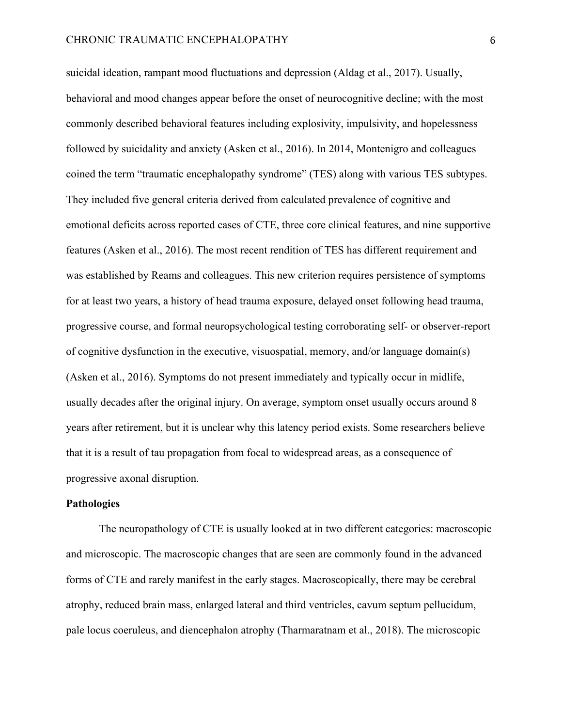suicidal ideation, rampant mood fluctuations and depression (Aldag et al., 2017). Usually, behavioral and mood changes appear before the onset of neurocognitive decline; with the most commonly described behavioral features including explosivity, impulsivity, and hopelessness followed by suicidality and anxiety (Asken et al., 2016). In 2014, Montenigro and colleagues coined the term "traumatic encephalopathy syndrome" (TES) along with various TES subtypes. They included five general criteria derived from calculated prevalence of cognitive and emotional deficits across reported cases of CTE, three core clinical features, and nine supportive features (Asken et al., 2016). The most recent rendition of TES has different requirement and was established by Reams and colleagues. This new criterion requires persistence of symptoms for at least two years, a history of head trauma exposure, delayed onset following head trauma, progressive course, and formal neuropsychological testing corroborating self- or observer-report of cognitive dysfunction in the executive, visuospatial, memory, and/or language domain(s) (Asken et al., 2016). Symptoms do not present immediately and typically occur in midlife, usually decades after the original injury. On average, symptom onset usually occurs around 8 years after retirement, but it is unclear why this latency period exists. Some researchers believe that it is a result of tau propagation from focal to widespread areas, as a consequence of progressive axonal disruption.

# **Pathologies**

The neuropathology of CTE is usually looked at in two different categories: macroscopic and microscopic. The macroscopic changes that are seen are commonly found in the advanced forms of CTE and rarely manifest in the early stages. Macroscopically, there may be cerebral atrophy, reduced brain mass, enlarged lateral and third ventricles, cavum septum pellucidum, pale locus coeruleus, and diencephalon atrophy (Tharmaratnam et al., 2018). The microscopic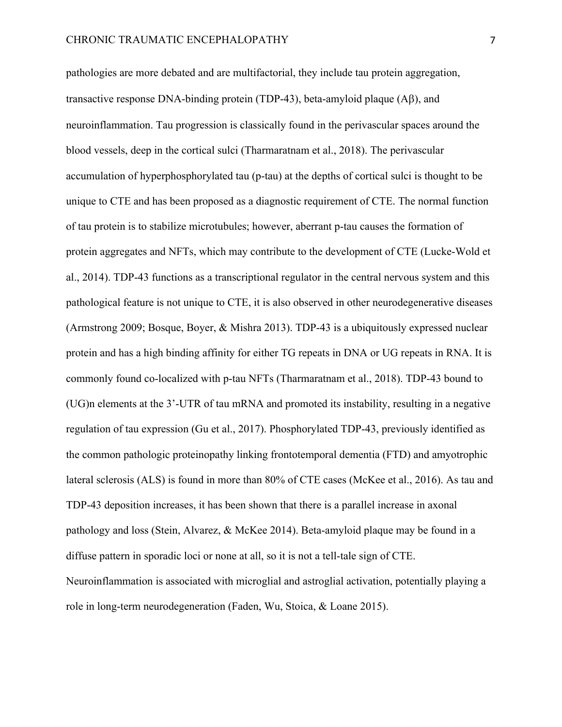pathologies are more debated and are multifactorial, they include tau protein aggregation, transactive response DNA-binding protein (TDP-43), beta-amyloid plaque  $(A\beta)$ , and neuroinflammation. Tau progression is classically found in the perivascular spaces around the blood vessels, deep in the cortical sulci (Tharmaratnam et al., 2018). The perivascular accumulation of hyperphosphorylated tau (p-tau) at the depths of cortical sulci is thought to be unique to CTE and has been proposed as a diagnostic requirement of CTE. The normal function of tau protein is to stabilize microtubules; however, aberrant p-tau causes the formation of protein aggregates and NFTs, which may contribute to the development of CTE (Lucke-Wold et al., 2014). TDP-43 functions as a transcriptional regulator in the central nervous system and this pathological feature is not unique to CTE, it is also observed in other neurodegenerative diseases (Armstrong 2009; Bosque, Boyer, & Mishra 2013). TDP-43 is a ubiquitously expressed nuclear protein and has a high binding affinity for either TG repeats in DNA or UG repeats in RNA. It is commonly found co-localized with p-tau NFTs (Tharmaratnam et al., 2018). TDP-43 bound to (UG)n elements at the 3'-UTR of tau mRNA and promoted its instability, resulting in a negative regulation of tau expression (Gu et al., 2017). Phosphorylated TDP-43, previously identified as the common pathologic proteinopathy linking frontotemporal dementia (FTD) and amyotrophic lateral sclerosis (ALS) is found in more than 80% of CTE cases (McKee et al., 2016). As tau and TDP-43 deposition increases, it has been shown that there is a parallel increase in axonal pathology and loss (Stein, Alvarez, & McKee 2014). Beta-amyloid plaque may be found in a diffuse pattern in sporadic loci or none at all, so it is not a tell-tale sign of CTE. Neuroinflammation is associated with microglial and astroglial activation, potentially playing a role in long-term neurodegeneration (Faden, Wu, Stoica, & Loane 2015).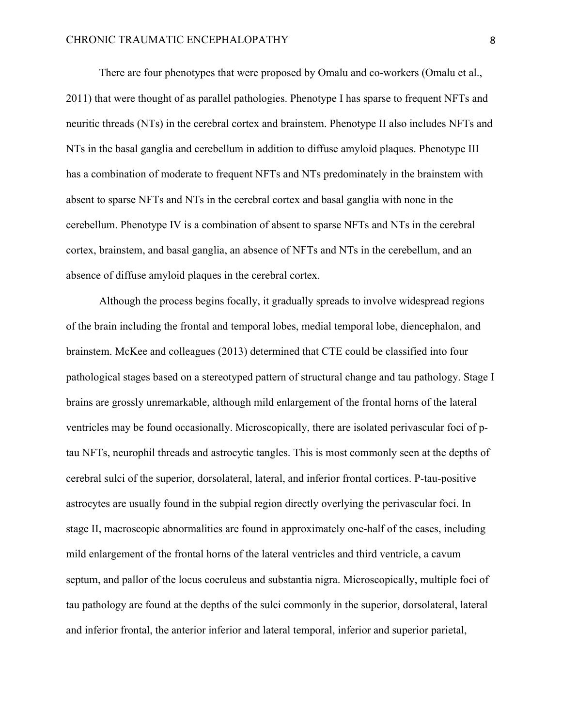There are four phenotypes that were proposed by Omalu and co-workers (Omalu et al., 2011) that were thought of as parallel pathologies. Phenotype I has sparse to frequent NFTs and neuritic threads (NTs) in the cerebral cortex and brainstem. Phenotype II also includes NFTs and NTs in the basal ganglia and cerebellum in addition to diffuse amyloid plaques. Phenotype III has a combination of moderate to frequent NFTs and NTs predominately in the brainstem with absent to sparse NFTs and NTs in the cerebral cortex and basal ganglia with none in the cerebellum. Phenotype IV is a combination of absent to sparse NFTs and NTs in the cerebral cortex, brainstem, and basal ganglia, an absence of NFTs and NTs in the cerebellum, and an absence of diffuse amyloid plaques in the cerebral cortex.

Although the process begins focally, it gradually spreads to involve widespread regions of the brain including the frontal and temporal lobes, medial temporal lobe, diencephalon, and brainstem. McKee and colleagues (2013) determined that CTE could be classified into four pathological stages based on a stereotyped pattern of structural change and tau pathology. Stage I brains are grossly unremarkable, although mild enlargement of the frontal horns of the lateral ventricles may be found occasionally. Microscopically, there are isolated perivascular foci of ptau NFTs, neurophil threads and astrocytic tangles. This is most commonly seen at the depths of cerebral sulci of the superior, dorsolateral, lateral, and inferior frontal cortices. P-tau-positive astrocytes are usually found in the subpial region directly overlying the perivascular foci. In stage II, macroscopic abnormalities are found in approximately one-half of the cases, including mild enlargement of the frontal horns of the lateral ventricles and third ventricle, a cavum septum, and pallor of the locus coeruleus and substantia nigra. Microscopically, multiple foci of tau pathology are found at the depths of the sulci commonly in the superior, dorsolateral, lateral and inferior frontal, the anterior inferior and lateral temporal, inferior and superior parietal,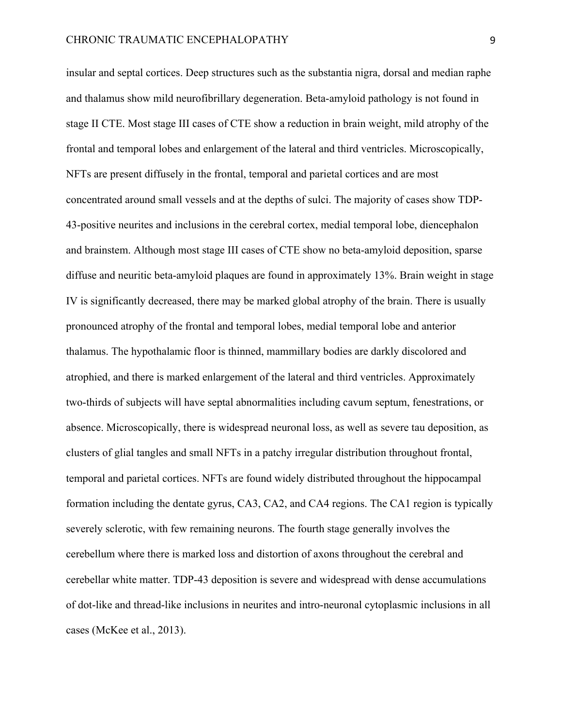insular and septal cortices. Deep structures such as the substantia nigra, dorsal and median raphe and thalamus show mild neurofibrillary degeneration. Beta-amyloid pathology is not found in stage II CTE. Most stage III cases of CTE show a reduction in brain weight, mild atrophy of the frontal and temporal lobes and enlargement of the lateral and third ventricles. Microscopically, NFTs are present diffusely in the frontal, temporal and parietal cortices and are most concentrated around small vessels and at the depths of sulci. The majority of cases show TDP-43-positive neurites and inclusions in the cerebral cortex, medial temporal lobe, diencephalon and brainstem. Although most stage III cases of CTE show no beta-amyloid deposition, sparse diffuse and neuritic beta-amyloid plaques are found in approximately 13%. Brain weight in stage IV is significantly decreased, there may be marked global atrophy of the brain. There is usually pronounced atrophy of the frontal and temporal lobes, medial temporal lobe and anterior thalamus. The hypothalamic floor is thinned, mammillary bodies are darkly discolored and atrophied, and there is marked enlargement of the lateral and third ventricles. Approximately two-thirds of subjects will have septal abnormalities including cavum septum, fenestrations, or absence. Microscopically, there is widespread neuronal loss, as well as severe tau deposition, as clusters of glial tangles and small NFTs in a patchy irregular distribution throughout frontal, temporal and parietal cortices. NFTs are found widely distributed throughout the hippocampal formation including the dentate gyrus, CA3, CA2, and CA4 regions. The CA1 region is typically severely sclerotic, with few remaining neurons. The fourth stage generally involves the cerebellum where there is marked loss and distortion of axons throughout the cerebral and cerebellar white matter. TDP-43 deposition is severe and widespread with dense accumulations of dot-like and thread-like inclusions in neurites and intro-neuronal cytoplasmic inclusions in all cases (McKee et al., 2013).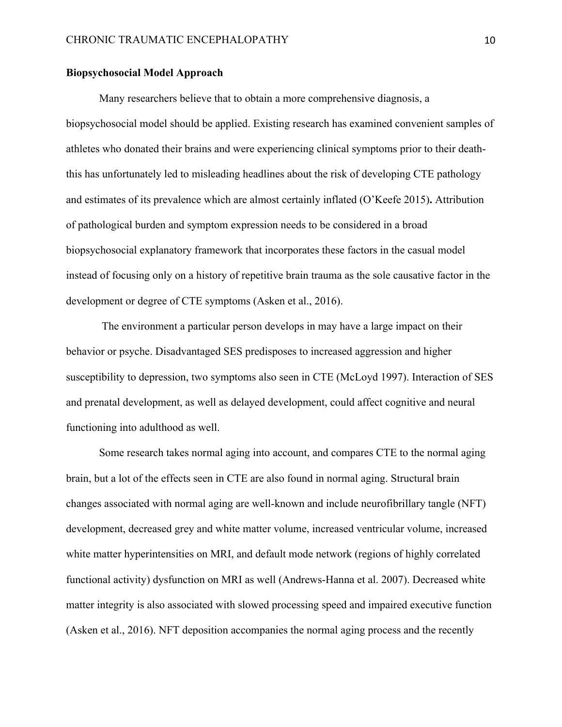# **Biopsychosocial Model Approach**

Many researchers believe that to obtain a more comprehensive diagnosis, a biopsychosocial model should be applied. Existing research has examined convenient samples of athletes who donated their brains and were experiencing clinical symptoms prior to their deaththis has unfortunately led to misleading headlines about the risk of developing CTE pathology and estimates of its prevalence which are almost certainly inflated (O'Keefe 2015)**.** Attribution of pathological burden and symptom expression needs to be considered in a broad biopsychosocial explanatory framework that incorporates these factors in the casual model instead of focusing only on a history of repetitive brain trauma as the sole causative factor in the development or degree of CTE symptoms (Asken et al., 2016).

The environment a particular person develops in may have a large impact on their behavior or psyche. Disadvantaged SES predisposes to increased aggression and higher susceptibility to depression, two symptoms also seen in CTE (McLoyd 1997). Interaction of SES and prenatal development, as well as delayed development, could affect cognitive and neural functioning into adulthood as well.

Some research takes normal aging into account, and compares CTE to the normal aging brain, but a lot of the effects seen in CTE are also found in normal aging. Structural brain changes associated with normal aging are well-known and include neurofibrillary tangle (NFT) development, decreased grey and white matter volume, increased ventricular volume, increased white matter hyperintensities on MRI, and default mode network (regions of highly correlated functional activity) dysfunction on MRI as well (Andrews-Hanna et al. 2007). Decreased white matter integrity is also associated with slowed processing speed and impaired executive function (Asken et al., 2016). NFT deposition accompanies the normal aging process and the recently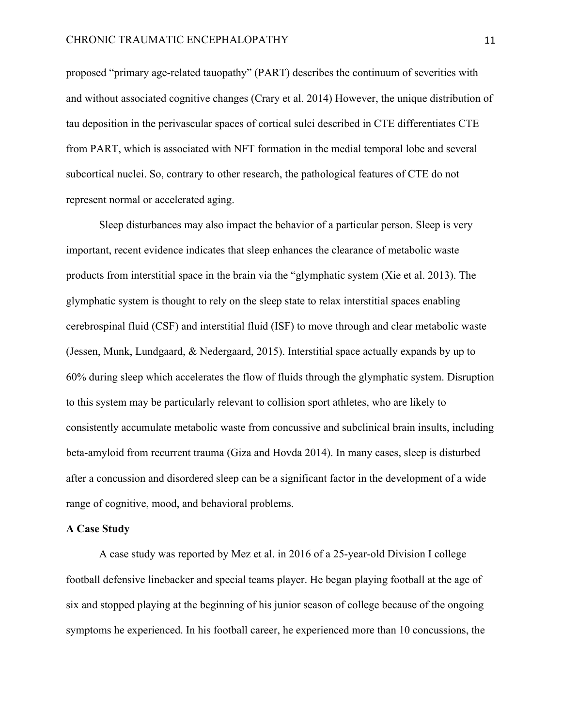proposed "primary age-related tauopathy" (PART) describes the continuum of severities with and without associated cognitive changes (Crary et al. 2014) However, the unique distribution of tau deposition in the perivascular spaces of cortical sulci described in CTE differentiates CTE from PART, which is associated with NFT formation in the medial temporal lobe and several subcortical nuclei. So, contrary to other research, the pathological features of CTE do not represent normal or accelerated aging.

Sleep disturbances may also impact the behavior of a particular person. Sleep is very important, recent evidence indicates that sleep enhances the clearance of metabolic waste products from interstitial space in the brain via the "glymphatic system (Xie et al. 2013). The glymphatic system is thought to rely on the sleep state to relax interstitial spaces enabling cerebrospinal fluid (CSF) and interstitial fluid (ISF) to move through and clear metabolic waste (Jessen, Munk, Lundgaard, & Nedergaard, 2015). Interstitial space actually expands by up to 60% during sleep which accelerates the flow of fluids through the glymphatic system. Disruption to this system may be particularly relevant to collision sport athletes, who are likely to consistently accumulate metabolic waste from concussive and subclinical brain insults, including beta-amyloid from recurrent trauma (Giza and Hovda 2014). In many cases, sleep is disturbed after a concussion and disordered sleep can be a significant factor in the development of a wide range of cognitive, mood, and behavioral problems.

#### **A Case Study**

A case study was reported by Mez et al. in 2016 of a 25-year-old Division I college football defensive linebacker and special teams player. He began playing football at the age of six and stopped playing at the beginning of his junior season of college because of the ongoing symptoms he experienced. In his football career, he experienced more than 10 concussions, the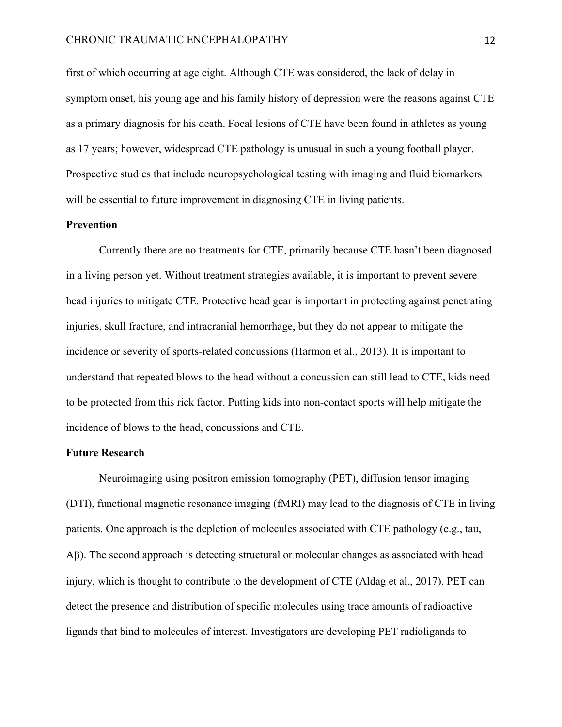first of which occurring at age eight. Although CTE was considered, the lack of delay in symptom onset, his young age and his family history of depression were the reasons against CTE as a primary diagnosis for his death. Focal lesions of CTE have been found in athletes as young as 17 years; however, widespread CTE pathology is unusual in such a young football player. Prospective studies that include neuropsychological testing with imaging and fluid biomarkers will be essential to future improvement in diagnosing CTE in living patients.

# **Prevention**

Currently there are no treatments for CTE, primarily because CTE hasn't been diagnosed in a living person yet. Without treatment strategies available, it is important to prevent severe head injuries to mitigate CTE. Protective head gear is important in protecting against penetrating injuries, skull fracture, and intracranial hemorrhage, but they do not appear to mitigate the incidence or severity of sports-related concussions (Harmon et al., 2013). It is important to understand that repeated blows to the head without a concussion can still lead to CTE, kids need to be protected from this rick factor. Putting kids into non-contact sports will help mitigate the incidence of blows to the head, concussions and CTE.

## **Future Research**

Neuroimaging using positron emission tomography (PET), diffusion tensor imaging (DTI), functional magnetic resonance imaging (fMRI) may lead to the diagnosis of CTE in living patients. One approach is the depletion of molecules associated with CTE pathology (e.g., tau, A $\beta$ ). The second approach is detecting structural or molecular changes as associated with head injury, which is thought to contribute to the development of CTE (Aldag et al., 2017). PET can detect the presence and distribution of specific molecules using trace amounts of radioactive ligands that bind to molecules of interest. Investigators are developing PET radioligands to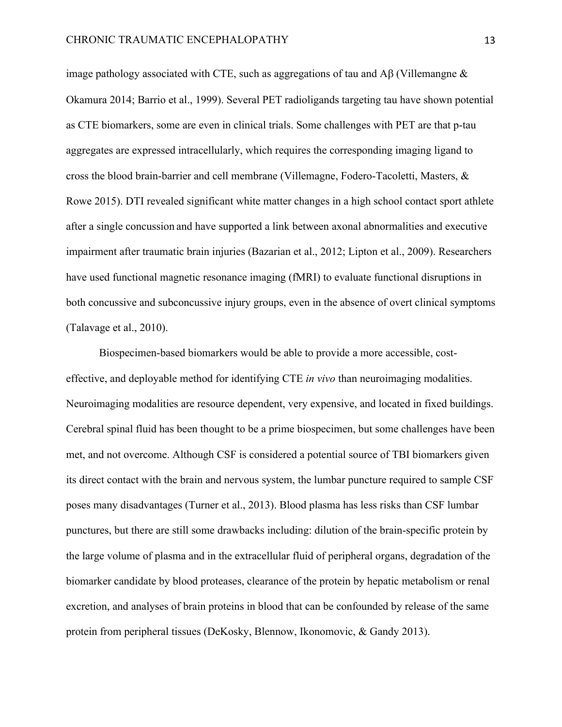image pathology associated with CTE, such as aggregations of tau and  $\overrightarrow{AB}$  (Villemangne  $\&$ Okamura 2014; Barrio et al., 1999). Several PET radioligands targeting tau have shown potential as CTE biomarkers, some are even in clinical trials. Some challenges with PET are that p-tau aggregates are expressed intracellularly, which requires the corresponding imaging ligand to cross the blood brain-barrier and cell membrane (Villemagne, Fodero-Tacoletti, Masters, & Rowe 2015). DTI revealed significant white matter changes in a high school contact sport athlete after a single concussion and have supported a link between axonal abnormalities and executive impairment after traumatic brain injuries (Bazarian et al., 2012; Lipton et al., 2009). Researchers have used functional magnetic resonance imaging (fMRI) to evaluate functional disruptions in both concussive and subconcussive injury groups, even in the absence of overt clinical symptoms (Talavage et al., 2010).

Biospecimen-based biomarkers would be able to provide a more accessible, costeffective, and deployable method for identifying CTE *in vivo* than neuroimaging modalities. Neuroimaging modalities are resource dependent, very expensive, and located in fixed buildings. Cerebral spinal fluid has been thought to be a prime biospecimen, but some challenges have been met, and not overcome. Although CSF is considered a potential source of TBI biomarkers given its direct contact with the brain and nervous system, the lumbar puncture required to sample CSF poses many disadvantages (Turner et al., 2013). Blood plasma has less risks than CSF lumbar punctures, but there are still some drawbacks including: dilution of the brain-specific protein by the large volume of plasma and in the extracellular fluid of peripheral organs, degradation of the biomarker candidate by blood proteases, clearance of the protein by hepatic metabolism or renal excretion, and analyses of brain proteins in blood that can be confounded by release of the same protein from peripheral tissues (DeKosky, Blennow, Ikonomovic, & Gandy 2013).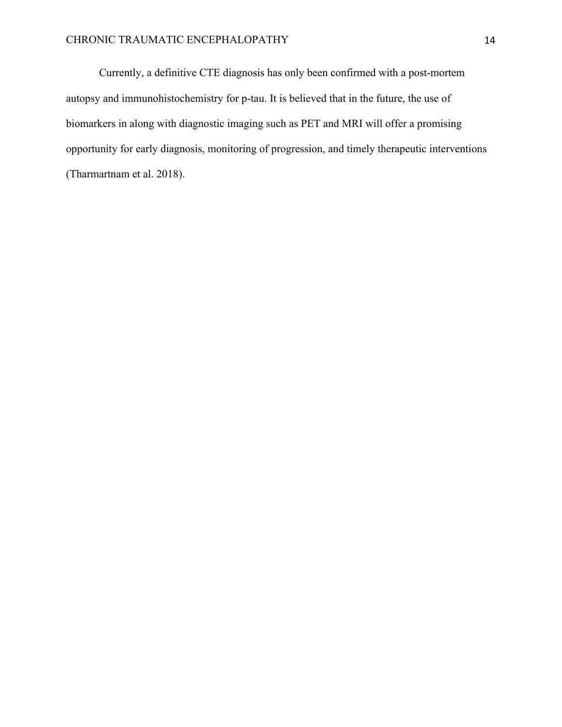Currently, a definitive CTE diagnosis has only been confirmed with a post-mortem autopsy and immunohistochemistry for p-tau. It is believed that in the future, the use of biomarkers in along with diagnostic imaging such as PET and MRI will offer a promising opportunity for early diagnosis, monitoring of progression, and timely therapeutic interventions (Tharmartnam et al. 2018).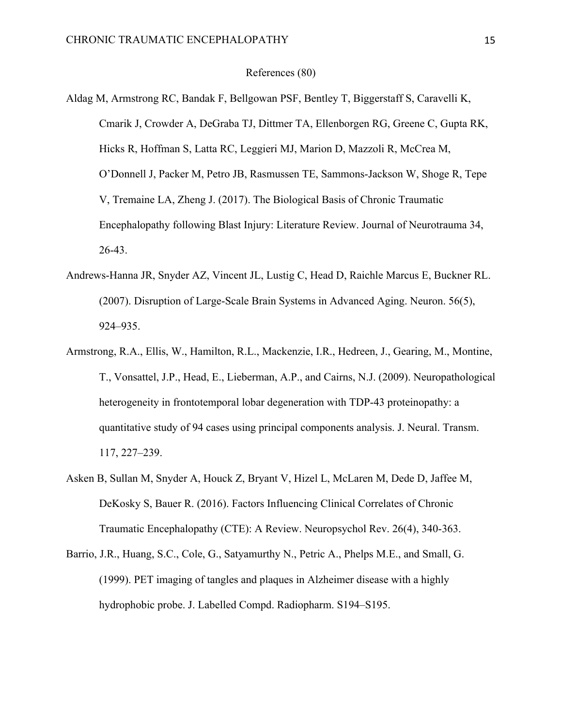# References (80)

- Aldag M, Armstrong RC, Bandak F, Bellgowan PSF, Bentley T, Biggerstaff S, Caravelli K, Cmarik J, Crowder A, DeGraba TJ, Dittmer TA, Ellenborgen RG, Greene C, Gupta RK, Hicks R, Hoffman S, Latta RC, Leggieri MJ, Marion D, Mazzoli R, McCrea M, O'Donnell J, Packer M, Petro JB, Rasmussen TE, Sammons-Jackson W, Shoge R, Tepe V, Tremaine LA, Zheng J. (2017). The Biological Basis of Chronic Traumatic Encephalopathy following Blast Injury: Literature Review. Journal of Neurotrauma 34, 26-43.
- Andrews-Hanna JR, Snyder AZ, Vincent JL, Lustig C, Head D, Raichle Marcus E, Buckner RL. (2007). Disruption of Large-Scale Brain Systems in Advanced Aging. Neuron. 56(5), 924–935.
- Armstrong, R.A., Ellis, W., Hamilton, R.L., Mackenzie, I.R., Hedreen, J., Gearing, M., Montine, T., Vonsattel, J.P., Head, E., Lieberman, A.P., and Cairns, N.J. (2009). Neuropathological heterogeneity in frontotemporal lobar degeneration with TDP-43 proteinopathy: a quantitative study of 94 cases using principal components analysis. J. Neural. Transm. 117, 227–239.
- Asken B, Sullan M, Snyder A, Houck Z, Bryant V, Hizel L, McLaren M, Dede D, Jaffee M, DeKosky S, Bauer R. (2016). Factors Influencing Clinical Correlates of Chronic Traumatic Encephalopathy (CTE): A Review. Neuropsychol Rev. 26(4), 340-363.
- Barrio, J.R., Huang, S.C., Cole, G., Satyamurthy N., Petric A., Phelps M.E., and Small, G. (1999). PET imaging of tangles and plaques in Alzheimer disease with a highly hydrophobic probe. J. Labelled Compd. Radiopharm. S194–S195.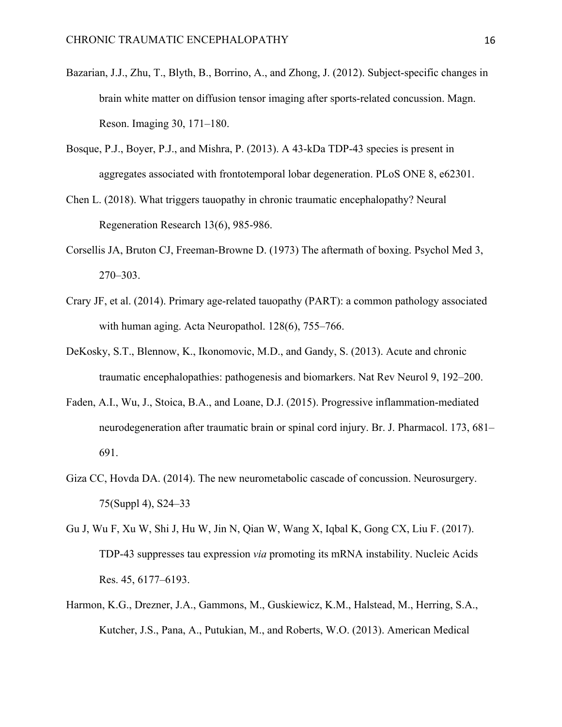- Bazarian, J.J., Zhu, T., Blyth, B., Borrino, A., and Zhong, J. (2012). Subject-specific changes in brain white matter on diffusion tensor imaging after sports-related concussion. Magn. Reson. Imaging 30, 171–180.
- Bosque, P.J., Boyer, P.J., and Mishra, P. (2013). A 43-kDa TDP-43 species is present in aggregates associated with frontotemporal lobar degeneration. PLoS ONE 8, e62301.
- Chen L. (2018). What triggers tauopathy in chronic traumatic encephalopathy? Neural Regeneration Research 13(6), 985-986.
- Corsellis JA, Bruton CJ, Freeman-Browne D. (1973) The aftermath of boxing. Psychol Med 3, 270–303.
- Crary JF, et al. (2014). Primary age-related tauopathy (PART): a common pathology associated with human aging. Acta Neuropathol. 128(6), 755–766.
- DeKosky, S.T., Blennow, K., Ikonomovic, M.D., and Gandy, S. (2013). Acute and chronic traumatic encephalopathies: pathogenesis and biomarkers. Nat Rev Neurol 9, 192–200.
- Faden, A.I., Wu, J., Stoica, B.A., and Loane, D.J. (2015). Progressive inflammation-mediated neurodegeneration after traumatic brain or spinal cord injury. Br. J. Pharmacol. 173, 681– 691.
- Giza CC, Hovda DA. (2014). The new neurometabolic cascade of concussion. Neurosurgery. 75(Suppl 4), S24–33
- Gu J, Wu F, Xu W, Shi J, Hu W, Jin N, Qian W, Wang X, Iqbal K, Gong CX, Liu F. (2017). TDP-43 suppresses tau expression *via* promoting its mRNA instability. Nucleic Acids Res. 45, 6177–6193.
- Harmon, K.G., Drezner, J.A., Gammons, M., Guskiewicz, K.M., Halstead, M., Herring, S.A., Kutcher, J.S., Pana, A., Putukian, M., and Roberts, W.O. (2013). American Medical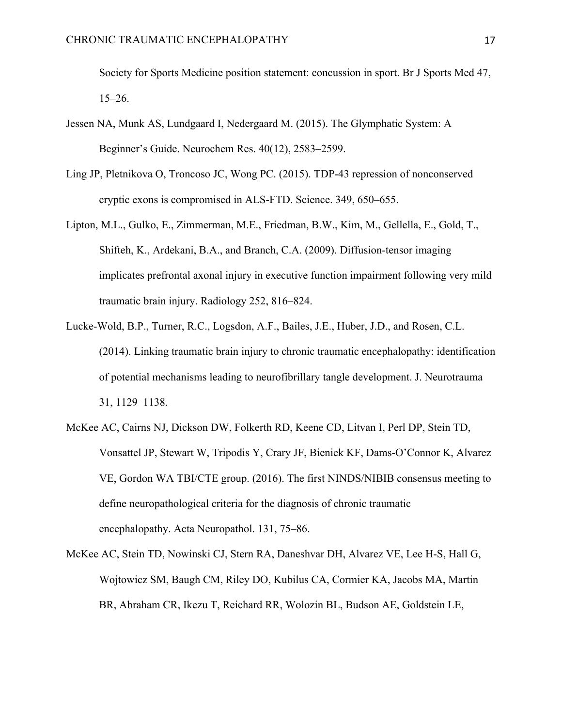Society for Sports Medicine position statement: concussion in sport. Br J Sports Med 47, 15–26.

- Jessen NA, Munk AS, Lundgaard I, Nedergaard M. (2015). The Glymphatic System: A Beginner's Guide. Neurochem Res. 40(12), 2583–2599.
- Ling JP, Pletnikova O, Troncoso JC, Wong PC. (2015). TDP-43 repression of nonconserved cryptic exons is compromised in ALS-FTD. Science. 349, 650–655.
- Lipton, M.L., Gulko, E., Zimmerman, M.E., Friedman, B.W., Kim, M., Gellella, E., Gold, T., Shifteh, K., Ardekani, B.A., and Branch, C.A. (2009). Diffusion-tensor imaging implicates prefrontal axonal injury in executive function impairment following very mild traumatic brain injury. Radiology 252, 816–824.
- Lucke-Wold, B.P., Turner, R.C., Logsdon, A.F., Bailes, J.E., Huber, J.D., and Rosen, C.L. (2014). Linking traumatic brain injury to chronic traumatic encephalopathy: identification of potential mechanisms leading to neurofibrillary tangle development. J. Neurotrauma 31, 1129–1138.
- McKee AC, Cairns NJ, Dickson DW, Folkerth RD, Keene CD, Litvan I, Perl DP, Stein TD, Vonsattel JP, Stewart W, Tripodis Y, Crary JF, Bieniek KF, Dams-O'Connor K, Alvarez VE, Gordon WA TBI/CTE group. (2016). The first NINDS/NIBIB consensus meeting to define neuropathological criteria for the diagnosis of chronic traumatic encephalopathy. Acta Neuropathol. 131, 75–86.
- McKee AC, Stein TD, Nowinski CJ, Stern RA, Daneshvar DH, Alvarez VE, Lee H-S, Hall G, Wojtowicz SM, Baugh CM, Riley DO, Kubilus CA, Cormier KA, Jacobs MA, Martin BR, Abraham CR, Ikezu T, Reichard RR, Wolozin BL, Budson AE, Goldstein LE,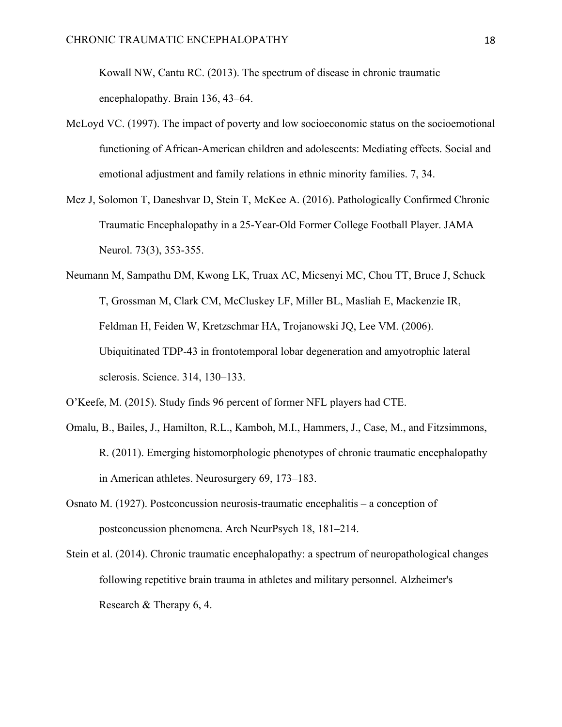Kowall NW, Cantu RC. (2013). The spectrum of disease in chronic traumatic encephalopathy. Brain 136, 43–64.

- McLoyd VC. (1997). The impact of poverty and low socioeconomic status on the socioemotional functioning of African-American children and adolescents: Mediating effects. Social and emotional adjustment and family relations in ethnic minority families. 7, 34.
- Mez J, Solomon T, Daneshvar D, Stein T, McKee A. (2016). Pathologically Confirmed Chronic Traumatic Encephalopathy in a 25-Year-Old Former College Football Player. JAMA Neurol. 73(3), 353-355.
- Neumann M, Sampathu DM, Kwong LK, Truax AC, Micsenyi MC, Chou TT, Bruce J, Schuck T, Grossman M, Clark CM, McCluskey LF, Miller BL, Masliah E, Mackenzie IR, Feldman H, Feiden W, Kretzschmar HA, Trojanowski JQ, Lee VM. (2006). Ubiquitinated TDP-43 in frontotemporal lobar degeneration and amyotrophic lateral sclerosis. Science. 314, 130–133.
- O'Keefe, M. (2015). Study finds 96 percent of former NFL players had CTE.
- Omalu, B., Bailes, J., Hamilton, R.L., Kamboh, M.I., Hammers, J., Case, M., and Fitzsimmons, R. (2011). Emerging histomorphologic phenotypes of chronic traumatic encephalopathy in American athletes. Neurosurgery 69, 173–183.
- Osnato M. (1927). Postconcussion neurosis-traumatic encephalitis a conception of postconcussion phenomena. Arch NeurPsych 18, 181–214.
- Stein et al. (2014). Chronic traumatic encephalopathy: a spectrum of neuropathological changes following repetitive brain trauma in athletes and military personnel. Alzheimer's Research & Therapy 6, 4.